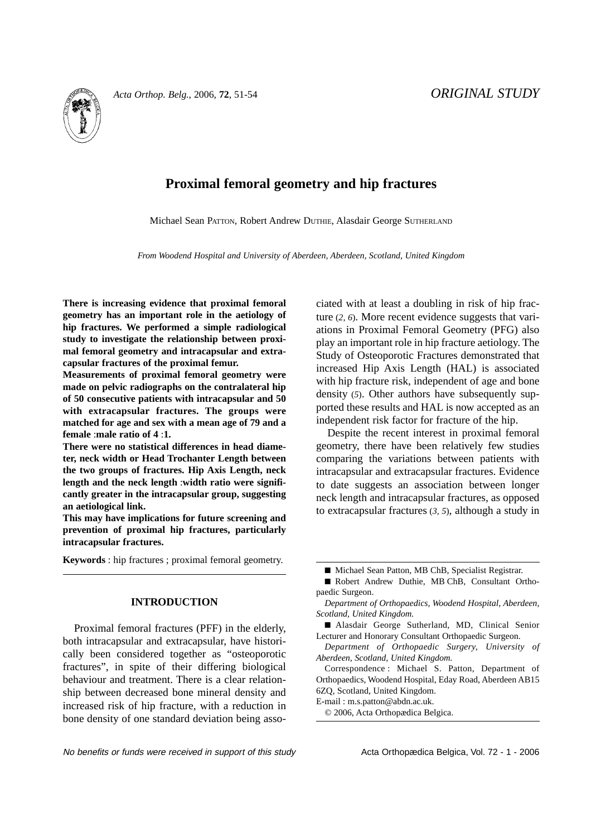

# **Proximal femoral geometry and hip fractures**

Michael Sean PATTON, Robert Andrew DUTHIE, Alasdair George SUTHERLAND

*From Woodend Hospital and University of Aberdeen, Aberdeen, Scotland, United Kingdom*

**There is increasing evidence that proximal femoral geometry has an important role in the aetiology of hip fractures. We performed a simple radiological study to investigate the relationship between proximal femoral geometry and intracapsular and extracapsular fractures of the proximal femur.**

**Measurements of proximal femoral geometry were made on pelvic radiographs on the contralateral hip of 50 consecutive patients with intracapsular and 50 with extracapsular fractures. The groups were matched for age and sex with a mean age of 79 and a female** :**male ratio of 4** :**1.**

**There were no statistical differences in head diameter, neck width or Head Trochanter Length between the two groups of fractures. Hip Axis Length, neck length and the neck length** :**width ratio were significantly greater in the intracapsular group, suggesting an aetiological link.**

**This may have implications for future screening and prevention of proximal hip fractures, particularly intracapsular fractures.** 

**Keywords** : hip fractures ; proximal femoral geometry.

#### **INTRODUCTION**

Proximal femoral fractures (PFF) in the elderly, both intracapsular and extracapsular, have historically been considered together as "osteoporotic fractures", in spite of their differing biological behaviour and treatment. There is a clear relationship between decreased bone mineral density and increased risk of hip fracture, with a reduction in bone density of one standard deviation being associated with at least a doubling in risk of hip fracture (*2, 6*). More recent evidence suggests that variations in Proximal Femoral Geometry (PFG) also play an important role in hip fracture aetiology. The Study of Osteoporotic Fractures demonstrated that increased Hip Axis Length (HAL) is associated with hip fracture risk, independent of age and bone density (*5*). Other authors have subsequently supported these results and HAL is now accepted as an independent risk factor for fracture of the hip.

Despite the recent interest in proximal femoral geometry, there have been relatively few studies comparing the variations between patients with intracapsular and extracapsular fractures. Evidence to date suggests an association between longer neck length and intracapsular fractures, as opposed to extracapsular fractures (*3, 5*), although a study in

E-mail : m.s.patton@abdn.ac.uk.

© 2006, Acta Orthopædica Belgica.

<sup>■</sup> Michael Sean Patton, MB ChB, Specialist Registrar.

<sup>■</sup> Robert Andrew Duthie, MB ChB, Consultant Orthopaedic Surgeon.

*Department of Orthopaedics, Woodend Hospital, Aberdeen, Scotland, United Kingdom.*

<sup>■</sup> Alasdair George Sutherland, MD, Clinical Senior Lecturer and Honorary Consultant Orthopaedic Surgeon.

*Department of Orthopaedic Surgery, University of Aberdeen, Scotland, United Kingdom.*

Correspondence : Michael S. Patton, Department of Orthopaedics, Woodend Hospital, Eday Road, Aberdeen AB15 6ZQ, Scotland, United Kingdom.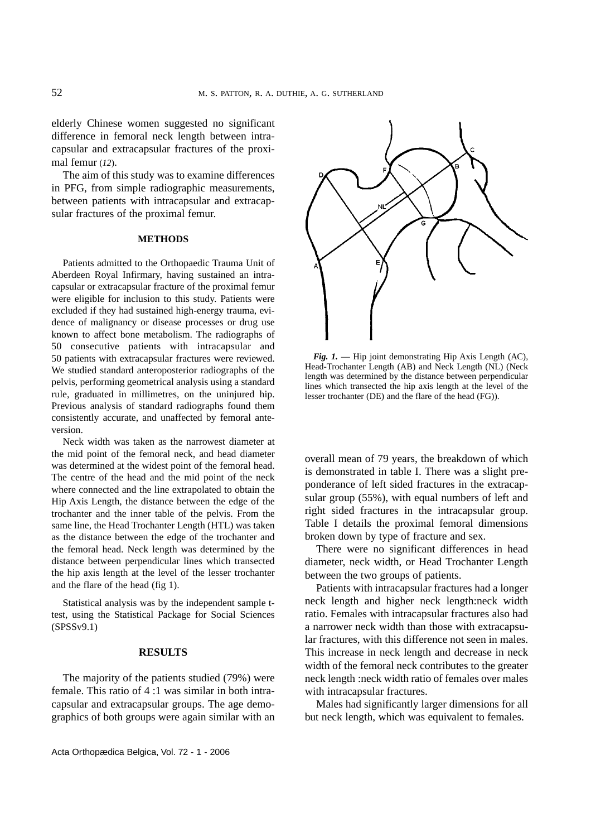elderly Chinese women suggested no significant difference in femoral neck length between intracapsular and extracapsular fractures of the proximal femur (*12*).

The aim of this study was to examine differences in PFG, from simple radiographic measurements, between patients with intracapsular and extracapsular fractures of the proximal femur.

## **METHODS**

Patients admitted to the Orthopaedic Trauma Unit of Aberdeen Royal Infirmary, having sustained an intracapsular or extracapsular fracture of the proximal femur were eligible for inclusion to this study. Patients were excluded if they had sustained high-energy trauma, evidence of malignancy or disease processes or drug use known to affect bone metabolism. The radiographs of 50 consecutive patients with intracapsular and 50 patients with extracapsular fractures were reviewed. We studied standard anteroposterior radiographs of the pelvis, performing geometrical analysis using a standard rule, graduated in millimetres, on the uninjured hip. Previous analysis of standard radiographs found them consistently accurate, and unaffected by femoral anteversion.

Neck width was taken as the narrowest diameter at the mid point of the femoral neck, and head diameter was determined at the widest point of the femoral head. The centre of the head and the mid point of the neck where connected and the line extrapolated to obtain the Hip Axis Length, the distance between the edge of the trochanter and the inner table of the pelvis. From the same line, the Head Trochanter Length (HTL) was taken as the distance between the edge of the trochanter and the femoral head. Neck length was determined by the distance between perpendicular lines which transected the hip axis length at the level of the lesser trochanter and the flare of the head (fig 1).

Statistical analysis was by the independent sample ttest, using the Statistical Package for Social Sciences (SPSSv9.1)

#### **RESULTS**

The majority of the patients studied (79%) were female. This ratio of 4 :1 was similar in both intracapsular and extracapsular groups. The age demographics of both groups were again similar with an



*Fig. 1.* — Hip joint demonstrating Hip Axis Length (AC), Head-Trochanter Length (AB) and Neck Length (NL) (Neck length was determined by the distance between perpendicular lines which transected the hip axis length at the level of the lesser trochanter (DE) and the flare of the head (FG)).

overall mean of 79 years, the breakdown of which is demonstrated in table I. There was a slight preponderance of left sided fractures in the extracapsular group (55%), with equal numbers of left and right sided fractures in the intracapsular group. Table I details the proximal femoral dimensions broken down by type of fracture and sex.

There were no significant differences in head diameter, neck width, or Head Trochanter Length between the two groups of patients.

Patients with intracapsular fractures had a longer neck length and higher neck length:neck width ratio. Females with intracapsular fractures also had a narrower neck width than those with extracapsular fractures, with this difference not seen in males. This increase in neck length and decrease in neck width of the femoral neck contributes to the greater neck length :neck width ratio of females over males with intracapsular fractures.

Males had significantly larger dimensions for all but neck length, which was equivalent to females.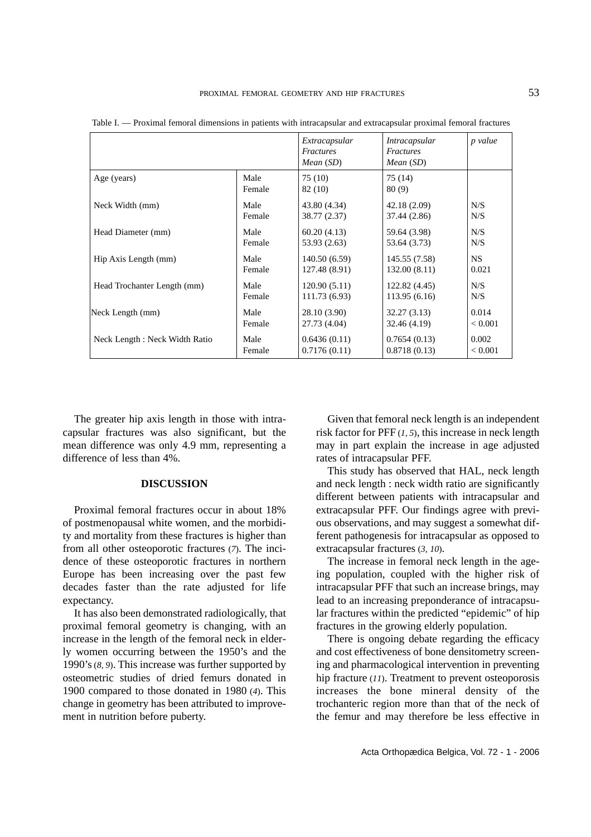|                                |                | Extracapsular<br>Fractures<br>Mean(SD) | <i>Intracapsular</i><br><b>Fractures</b><br>Mean (SD) | p value   |
|--------------------------------|----------------|----------------------------------------|-------------------------------------------------------|-----------|
| Age (years)                    | Male<br>Female | 75 (10)<br>82 (10)                     | 75 (14)<br>80(9)                                      |           |
| Neck Width (mm)                | Male           | 43.80 (4.34)                           | 42.18 (2.09)                                          | N/S       |
|                                | Female         | 38.77 (2.37)                           | 37.44 (2.86)                                          | N/S       |
| Head Diameter (mm)             | Male           | 60.20(4.13)                            | 59.64 (3.98)                                          | N/S       |
|                                | Female         | 53.93 (2.63)                           | 53.64 (3.73)                                          | N/S       |
| Hip Axis Length (mm)           | Male           | 140.50(6.59)                           | 145.55 (7.58)                                         | <b>NS</b> |
|                                | Female         | 127.48 (8.91)                          | 132.00(8.11)                                          | 0.021     |
| Head Trochanter Length (mm)    | Male           | 120.90(5.11)                           | 122.82 (4.45)                                         | N/S       |
|                                | Female         | 111.73 (6.93)                          | 113.95(6.16)                                          | N/S       |
| Neck Length (mm)               | Male           | 28.10 (3.90)                           | 32.27(3.13)                                           | 0.014     |
|                                | Female         | 27.73 (4.04)                           | 32.46 (4.19)                                          | < 0.001   |
| Neck Length : Neck Width Ratio | Male           | 0.6436(0.11)                           | 0.7654(0.13)                                          | 0.002     |
|                                | Female         | 0.7176(0.11)                           | 0.8718(0.13)                                          | < 0.001   |

Table I. — Proximal femoral dimensions in patients with intracapsular and extracapsular proximal femoral fractures

The greater hip axis length in those with intracapsular fractures was also significant, but the mean difference was only 4.9 mm, representing a difference of less than 4%.

# **DISCUSSION**

Proximal femoral fractures occur in about 18% of postmenopausal white women, and the morbidity and mortality from these fractures is higher than from all other osteoporotic fractures (*7*). The incidence of these osteoporotic fractures in northern Europe has been increasing over the past few decades faster than the rate adjusted for life expectancy.

It has also been demonstrated radiologically, that proximal femoral geometry is changing, with an increase in the length of the femoral neck in elderly women occurring between the 1950's and the 1990's(*8, 9*). This increase was further supported by osteometric studies of dried femurs donated in 1900 compared to those donated in 1980 (*4*). This change in geometry has been attributed to improvement in nutrition before puberty.

Given that femoral neck length is an independent risk factor for PFF (*1, 5*), this increase in neck length may in part explain the increase in age adjusted rates of intracapsular PFF.

This study has observed that HAL, neck length and neck length : neck width ratio are significantly different between patients with intracapsular and extracapsular PFF. Our findings agree with previous observations, and may suggest a somewhat different pathogenesis for intracapsular as opposed to extracapsular fractures (*3, 10*).

The increase in femoral neck length in the ageing population, coupled with the higher risk of intracapsular PFF that such an increase brings, may lead to an increasing preponderance of intracapsular fractures within the predicted "epidemic" of hip fractures in the growing elderly population.

There is ongoing debate regarding the efficacy and cost effectiveness of bone densitometry screening and pharmacological intervention in preventing hip fracture (*11*). Treatment to prevent osteoporosis increases the bone mineral density of the trochanteric region more than that of the neck of the femur and may therefore be less effective in